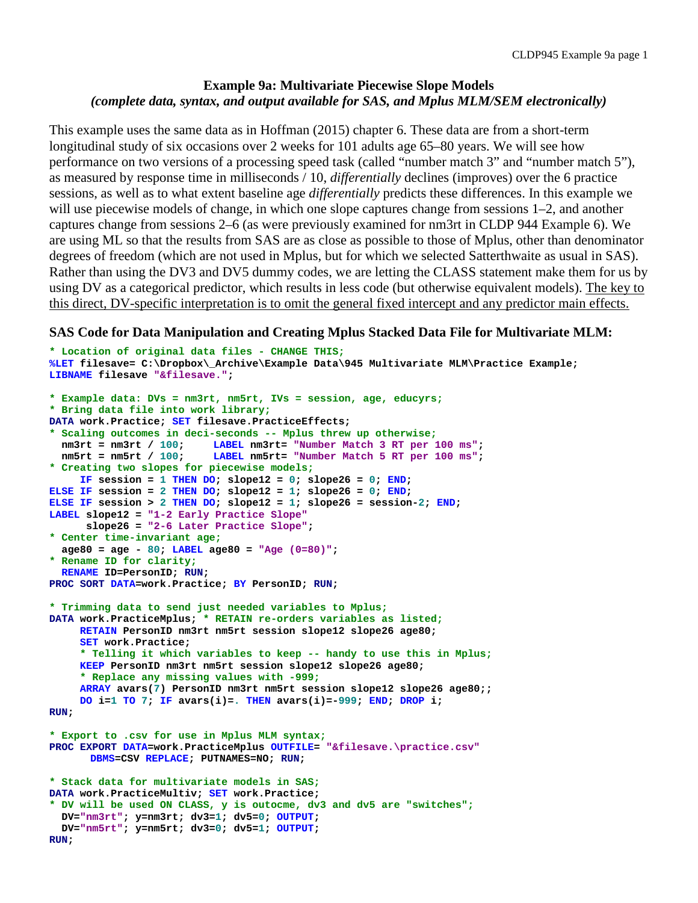## **Example 9a: Multivariate Piecewise Slope Models** *(complete data, syntax, and output available for SAS, and Mplus MLM/SEM electronically)*

This example uses the same data as in Hoffman (2015) chapter 6. These data are from a short-term longitudinal study of six occasions over 2 weeks for 101 adults age 65–80 years. We will see how performance on two versions of a processing speed task (called "number match 3" and "number match 5"), as measured by response time in milliseconds / 10, *differentially* declines (improves) over the 6 practice sessions, as well as to what extent baseline age *differentially* predicts these differences. In this example we will use piecewise models of change, in which one slope captures change from sessions 1–2, and another captures change from sessions 2–6 (as were previously examined for nm3rt in CLDP 944 Example 6). We are using ML so that the results from SAS are as close as possible to those of Mplus, other than denominator degrees of freedom (which are not used in Mplus, but for which we selected Satterthwaite as usual in SAS). Rather than using the DV3 and DV5 dummy codes, we are letting the CLASS statement make them for us by using DV as a categorical predictor, which results in less code (but otherwise equivalent models). The key to this direct, DV-specific interpretation is to omit the general fixed intercept and any predictor main effects.

## **SAS Code for Data Manipulation and Creating Mplus Stacked Data File for Multivariate MLM:**

```
* Location of original data files - CHANGE THIS;
%LET filesave= C:\Dropbox\_Archive\Example Data\945 Multivariate MLM\Practice Example;
LIBNAME filesave "&filesave.";
* Example data: DVs = nm3rt, nm5rt, IVs = session, age, educyrs;
* Bring data file into work library;
DATA work.Practice; SET filesave.PracticeEffects; 
* Scaling outcomes in deci-seconds -- Mplus threw up otherwise;
  nm3rt = nm3rt / 100; LABEL nm3rt= "Number Match 3 RT per 100 ms";<br>nm5rt = nm5rt / 100; LABEL nm5rt= "Number Match 5 RT per 100 ms";
                          LABEL nm5rt= "Number Match 5 RT per 100 ms";
* Creating two slopes for piecewise models;
     IF session = 1 THEN DO; slope12 = 0; slope26 = 0; END;
ELSE IF session = 2 THEN DO; slope12 = 1; slope26 = 0; END;
ELSE IF session > 2 THEN DO; slope12 = 1; slope26 = session-2; END;
LABEL slope12 = "1-2 Early Practice Slope"
       slope26 = "2-6 Later Practice Slope";
* Center time-invariant age;
   age80 = age - 80; LABEL age80 = "Age (0=80)";
* Rename ID for clarity;
   RENAME ID=PersonID; RUN;
PROC SORT DATA=work.Practice; BY PersonID; RUN;
* Trimming data to send just needed variables to Mplus;
DATA work.PracticeMplus; * RETAIN re-orders variables as listed;
      RETAIN PersonID nm3rt nm5rt session slope12 slope26 age80;
      SET work.Practice;
      * Telling it which variables to keep -- handy to use this in Mplus;
      KEEP PersonID nm3rt nm5rt session slope12 slope26 age80;
      * Replace any missing values with -999;
      ARRAY avars(7) PersonID nm3rt nm5rt session slope12 slope26 age80;;
      DO i=1 TO 7; IF avars(i)=. THEN avars(i)=-999; END; DROP i; 
RUN;
* Export to .csv for use in Mplus MLM syntax;
PROC EXPORT DATA=work.PracticeMplus OUTFILE= "&filesave.\practice.csv"
       DBMS=CSV REPLACE; PUTNAMES=NO; RUN;
* Stack data for multivariate models in SAS;
DATA work.PracticeMultiv; SET work.Practice;
* DV will be used ON CLASS, y is outocme, dv3 and dv5 are "switches";
   DV="nm3rt"; y=nm3rt; dv3=1; dv5=0; OUTPUT;
   DV="nm5rt"; y=nm5rt; dv3=0; dv5=1; OUTPUT;
RUN;
```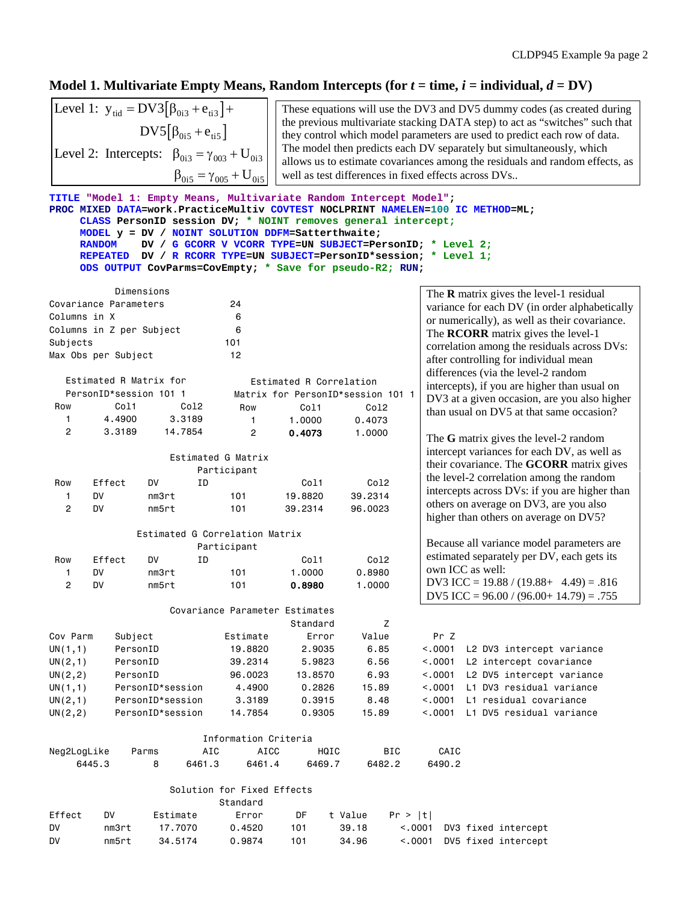# **Model 1. Multivariate Empty Means, Random Intercepts** (for  $t =$  time,  $i =$  individual,  $d = DV$ )

|  | Level 1: $y_{tid} = DV3[\beta_{0i3} + e_{ti3}] +$           |
|--|-------------------------------------------------------------|
|  | $DV5[\beta_{0i5} + e_{ti5}]$                                |
|  | Level 2: Intercepts: $\beta_{0i3} = \gamma_{003} + U_{0i3}$ |
|  | $\beta_{0i5} = \gamma_{005} + U_{0i5}$                      |

These equations will use the DV3 and DV5 dummy codes (as created during the previous multivariate stacking DATA step) to act as "switches" such that they control which model parameters are used to predict each row of data. The model then predicts each DV separately but simultaneously, which allows us to estimate covariances among the residuals and random effects, as well as test differences in fixed effects across DVs..

| The $R$ matrix gives the level-1 residual     |  |  |  |
|-----------------------------------------------|--|--|--|
|                                               |  |  |  |
|                                               |  |  |  |
|                                               |  |  |  |
|                                               |  |  |  |
|                                               |  |  |  |
|                                               |  |  |  |
| variance for each DV (in order alphabetically |  |  |  |
| or numerically), as well as their covariance. |  |  |  |
| The <b>RCORR</b> matrix gives the level-1     |  |  |  |
| correlation among the residuals across DVs:   |  |  |  |
| after controlling for individual mean         |  |  |  |
| differences (via the level-2 random           |  |  |  |
| intercepts), if you are higher than usual on  |  |  |  |
| DV3 at a given occasion, are you also higher  |  |  |  |
| than usual on DV5 at that same occasion?      |  |  |  |
|                                               |  |  |  |
| The $G$ matrix gives the level-2 random       |  |  |  |
| intercept variances for each DV, as well as   |  |  |  |
| their covariance. The GCORR matrix gives      |  |  |  |
| the level-2 correlation among the random      |  |  |  |
| intercepts across DVs: if you are higher than |  |  |  |
| others on average on DV3, are you also        |  |  |  |
| higher than others on average on DV5?         |  |  |  |
|                                               |  |  |  |
| Because all variance model parameters are     |  |  |  |
| estimated separately per DV, each gets its    |  |  |  |
|                                               |  |  |  |
| DV3 ICC = $19.88 / (19.88 + 4.49) = .816$     |  |  |  |
| DV5 ICC = $96.00 / (96.00 + 14.79) = .755$    |  |  |  |
|                                               |  |  |  |
|                                               |  |  |  |
|                                               |  |  |  |
| <.0001 L2 DV3 intercept variance              |  |  |  |
| L2 intercept covariance                       |  |  |  |
| L2 DV5 intercept variance                     |  |  |  |
| L1 DV3 residual variance                      |  |  |  |
| L1 residual covariance                        |  |  |  |
| <.0001 L1 DV5 residual variance               |  |  |  |
|                                               |  |  |  |
|                                               |  |  |  |
|                                               |  |  |  |
|                                               |  |  |  |
|                                               |  |  |  |
|                                               |  |  |  |
|                                               |  |  |  |
|                                               |  |  |  |
|                                               |  |  |  |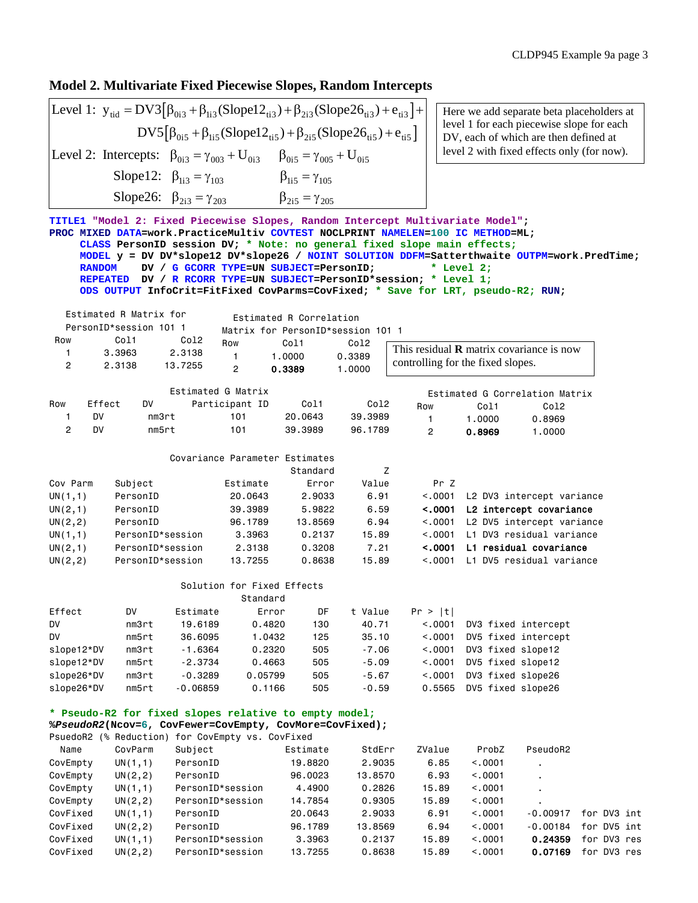### **Model 2. Multivariate Fixed Piecewise Slopes, Random Intercepts**

Level 1: 
$$
y_{tid} = DV3[\beta_{0i3} + \beta_{1i3}(Slope12_{ti3}) + \beta_{2i3}(Slope26_{ti3}) + e_{ti3}] + DV5[\beta_{0i5} + \beta_{1i5}(Slope12_{ti5}) + \beta_{2i5}(Slope26_{ti5}) + e_{ti5}]
$$
  
Level 2: Intercepts:  $\beta_{0i3} = \gamma_{003} + U_{0i3}$   $\beta_{0i5} = \gamma_{005} + U_{0i5}$ 

 $\beta_{1i5} = \gamma_{105}$ Slope26:  $\beta_{2i3} = \gamma_{203}$   $\beta_{2i5} = \gamma_{205}$ Slope12:  $\beta_{13} = \gamma_{103}$   $\beta_{15} = \gamma$ 

Here we add separate beta placeholders at level 1 for each piecewise slope for each DV, each of which are then defined at level 2 with fixed effects only (for now).

```
TITLE1 "Model 2: Fixed Piecewise Slopes, Random Intercept Multivariate Model";
PROC MIXED DATA=work.PracticeMultiv COVTEST NOCLPRINT NAMELEN=100 IC METHOD=ML;
     CLASS PersonID session DV; * Note: no general fixed slope main effects;
     MODEL y = DV DV*slope12 DV*slope26 / NOINT SOLUTION DDFM=Satterthwaite OUTPM=work.PredTime;
            DV / G GCORR TYPE=UN SUBJECT=PersonID;
     REPEATED DV / R RCORR TYPE=UN SUBJECT=PersonID*session; * Level 1;
     ODS OUTPUT InfoCrit=FitFixed CovParms=CovFixed; * Save for LRT, pseudo-R2; RUN;
   Estimated R Matrix for
   PersonID*session 101 1
Row Col1 Col2
   1 3.3963 2.3138
   2 2.3138 13.7255
                 Estimated G Matrix
Row Effect DV Participant ID Col1 Col2
 1 DV nm3rt 101 20.0643 39.3989
 2 DV nm5rt 101 39.3989 96.1789
                 Covariance Parameter Estimates
 Standard Z
Cov Parm  Subject       Estimate    Error   Value     Pr Z
UN(1,1) PersonID 20.0643 2.9033 6.91 <.0001 L2 DV3 intercept variance
UN(2,1) PersonID 39.3989 5.9822 6.59 <.0001 L2 intercept covariance
UN(2,2) PersonID 96.1789 13.8569 6.94 <.0001 L2 DV5 intercept variance
UN(1,1) PersonID*session 3.3963 0.2137 15.89 <.0001 L1 DV3 residual variance
UN(2,1) PersonID*session 2.3138 0.3208 7.21 <.0001 L1 residual covariance
UN(2,2) PersonID*session 13.7255 0.8638 15.89 <.0001 L1 DV5 residual variance
                   Solution for Fixed Effects
                           Standard
Effect DV Estimate Error DF t Value Pr > |t|
DV nm3rt 19.6189 0.4820 130 40.71 <.0001 DV3 fixed intercept
DV nm5rt 36.6095 1.0432 125 35.10 <.0001 DV5 fixed intercept
slope12*DV nm3rt -1.6364 0.2320 505 -7.06 <.0001 DV3 fixed slope12
slope12*DV nm5rt -2.3734 0.4663 505 -5.09 <.0001 DV5 fixed slope12
slope26*DV nm3rt -0.3289 0.05799 505 -5.67 <.0001 DV3 fixed slope26
slope26*DV nm5rt -0.06859 0.1166 505 -0.59 0.5565 DV5 fixed slope26
* Pseudo-R2 for fixed slopes relative to empty model;
%PseudoR2(Ncov=6, CovFewer=CovEmpty, CovMore=CovFixed);
PsuedoR2 (% Reduction) for CovEmpty vs. CovFixed
 Name CovParm Subject Estimate StdErr ZValue ProbZ PseudoR2
CovEmpty UN(1,1) PersonID 19.8820 2.9035 6.85 <.0001 .
CovEmpty UN(2,2) PersonID 96.0023 13.8570 6.93 <.0001 .
CovEmpty UN(1,1) PersonID*session 4.4900 0.2826 15.89 <.0001 .
CovEmpty UN(2,2) PersonID*session 14.7854 0.9305 15.89 <.0001 .
CovFixed UN(1,1) PersonID 20.0643 2.9033 6.91 <.0001 -0.00917 for DV3 int
CovFixed UN(2,2) PersonID 96.1789 13.8569 6.94 <.0001 -0.00184 for DV5 int
CovFixed UN(1,1) PersonID*session 3.3963 0.2137 15.89 <.0001 0.24359 for DV3 res
                          Estimated R Correlation
                       Matrix for PersonID*session 101 1 
                        Row Col1 Col2
                          1 1.0000 0.3389
                          2 0.3389 1.0000
                                                     Estimated G Correlation Matrix 
                                                  Row Col1 Col2
                                                     1 1.0000 0.8969
                                                     2 0.8969 1.0000
                                               This residual R matrix covariance is now 
                                               controlling for the fixed slopes.
```
CovFixed UN(2,2) PersonID\*session 13.7255 0.8638 15.89 <.0001 0.07169 for DV3 res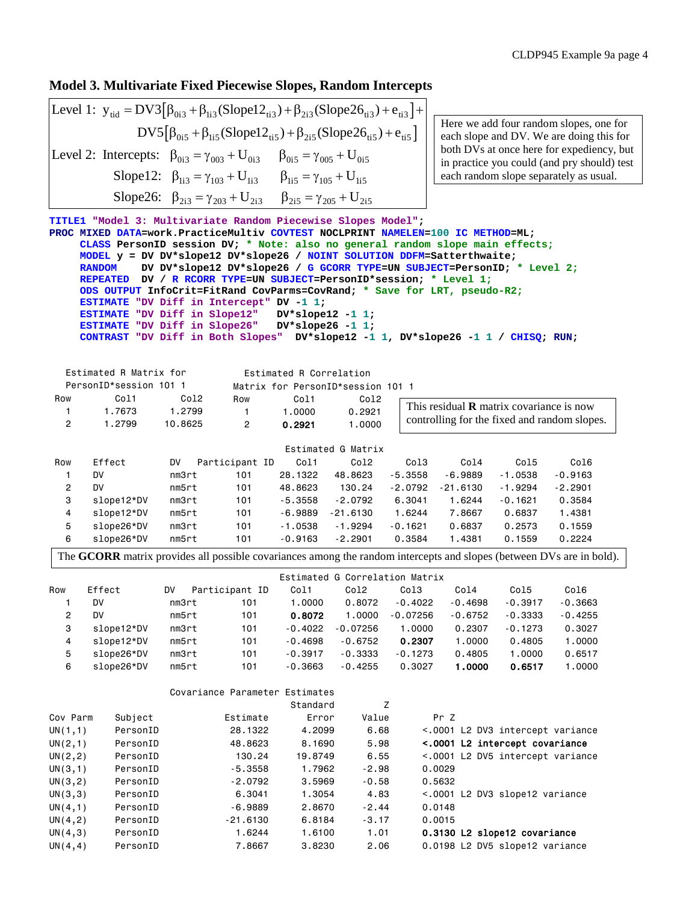## **Model 3. Multivariate Fixed Piecewise Slopes, Random Intercepts**

[ ] [ ] tid 0i3 1i3 ti3 2i3 ti3 ti3 0i5 1i5 ti5 2i5 ti5 ti5 0i3 003 0i3 0i5 005 0i5 Level 1: y DV3 (Slope12 ) (Slope26 ) e DV5 (Slope12 ) (Slope26 ) e Level 2: Intercepts: U U = β +β + β + + β +β + β + β =γ + β =γ + 1i3 103 1i3 1i5 105 1i5 Slope12: U U Slope26: U U β =γ + β =γ + β =γ + β =γ +

Here we add four random slopes, one for each slope and DV. We are doing this for both DVs at once here for expediency, but in practice you could (and pry should) test each random slope separately as usual.

```
TITLE1 "Model 3: Multivariate Random Piecewise Slopes Model";
PROC MIXED DATA=work.PracticeMultiv COVTEST NOCLPRINT NAMELEN=100 IC METHOD=ML;
     CLASS PersonID session DV; * Note: also no general random slope main effects;
     MODEL y = DV DV*slope12 DV*slope26 / NOINT SOLUTION DDFM=Satterthwaite;
              RANDOM DV DV*slope12 DV*slope26 / G GCORR TYPE=UN SUBJECT=PersonID; * Level 2;
     REPEATED DV / R RCORR TYPE=UN SUBJECT=PersonID*session; * Level 1;
     ODS OUTPUT InfoCrit=FitRand CovParms=CovRand; * Save for LRT, pseudo-R2;
     ESTIMATE "DV Diff in Intercept" DV -1 1;
     ESTIMATE "DV Diff in Slope12" DV*slope12 -1 1;
    ESTIMATE "DV Diff in Slope26"
     CONTRAST "DV Diff in Both Slopes" DV*slope12 -1 1, DV*slope26 -1 1 / CHISQ; RUN;
   Estimated R Matrix for
   PersonID*session 101 1
Row Col1 Col2
   1 1.7673 1.2799
   2 1.2799 10.8625
                                   Estimated G Matrix 
Row Effect DV Participant ID Col1 Col2 Col3 Col4 Col5 Col6
 1 DV nm3rt 101 28.1322 48.8623 -5.3558 -6.9889 -1.0538 -0.9163
 2 DV nm5rt 101 48.8623 130.24 -2.0792 -21.6130 -1.9294 -2.2901
 3 slope12*DV nm3rt 101 -5.3558 -2.0792 6.3041 1.6244 -0.1621 0.3584
 4 slope12*DV nm5rt 101 -6.9889 -21.6130 1.6244 7.8667 0.6837 1.4381
 5 slope26*DV nm3rt 101 -1.0538 -1.9294 -0.1621 0.6837 0.2573 0.1559
 6 slope26*DV nm5rt 101 -0.9163 -2.2901 0.3584 1.4381 0.1559 0.2224
                                  Estimated G Correlation Matrix
Row Effect DV Participant ID Col1 Col2 Col3 Col4 Col5 Col6
 1 DV nm3rt 101 1.0000 0.8072 -0.4022 -0.4698 -0.3917 -0.3663
   2 DV nm5rt 101 0.8072 1.0000 -0.07256 -0.6752 -0.3333 -0.4255
 3 slope12*DV nm3rt 101 -0.4022 -0.07256 1.0000 0.2307 -0.1273 0.3027
 4 slope12*DV nm5rt 101 -0.4698 -0.6752 0.2307 1.0000 0.4805 1.0000
 5 slope26*DV nm3rt 101 -0.3917 -0.3333 -0.1273 0.4805 1.0000 0.6517
 6 slope26*DV nm5rt 101 -0.3663 -0.4255 0.3027 1.0000 0.6517 1.0000
                   2i3 - i203 - 2i3 P_{2i5} - i205 - 2i5 Estimated R Correlation
                          Matrix for PersonID*session 101 1 
                          Row Col1 Col2
                            1 1.0000 0.2921
                             2 0.2921 1.0000
                                                   This residual R matrix covariance is now 
                                                   controlling for the fixed and random slopes.
 The GCORR matrix provides all possible covariances among the random intercepts and slopes (between DVs are in bold).
```

|             |          | Covariance Parameter Estimates |          |         |                                  |
|-------------|----------|--------------------------------|----------|---------|----------------------------------|
|             |          |                                | Standard | Ζ       |                                  |
| Cov Parm    | Subject  | Estimate                       | Error    | Value   | Pr Z                             |
| UN(1,1)     | PersonID | 28,1322                        | 4,2099   | 6.68    | <.0001 L2 DV3 intercept variance |
| UN(2,1)     | PersonID | 48,8623                        | 8,1690   | 5.98    | <.0001 L2 intercept covariance   |
| UN $(2, 2)$ | PersonID | 130.24                         | 19,8749  | 6.55    | <.0001 L2 DV5 intercept variance |
| UN(3,1)     | PersonID | $-5.3558$                      | 1.7962   | $-2.98$ | 0.0029                           |
| UN(3, 2)    | PersonID | $-2.0792$                      | 3,5969   | $-0.58$ | 0.5632                           |
| UN(3,3)     | PersonID | 6.3041                         | 1.3054   | 4.83    | <.0001 L2 DV3 slope12 variance   |
| UN(4,1)     | PersonID | $-6.9889$                      | 2,8670   | $-2.44$ | 0.0148                           |
| UN(4,2)     | PersonID | $-21.6130$                     | 6,8184   | $-3.17$ | 0.0015                           |
| UN(4,3)     | PersonID | 1.6244                         | 1,6100   | 1.01    | 0.3130 L2 slope12 covariance     |
| UN(4, 4)    | PersonID | 7.8667                         | 3,8230   | 2.06    | 0.0198 L2 DV5 slope12 variance   |
|             |          |                                |          |         |                                  |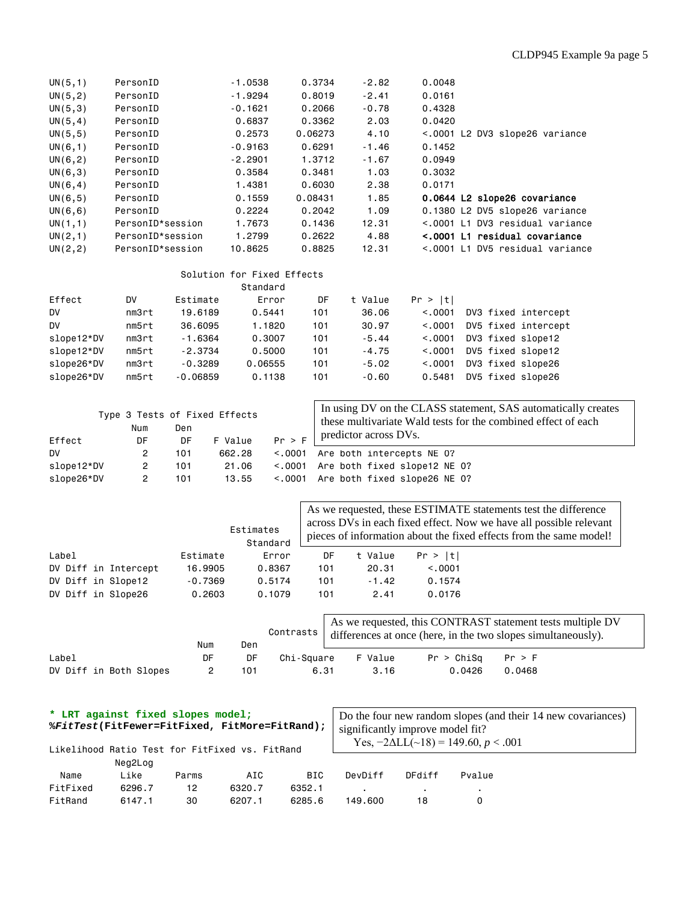## CLDP945 Example 9a page 5

| UN(5, 1) | PersonID         | $-1.0538$ | 0.3734  | $-2.82$ | 0.0048                          |
|----------|------------------|-----------|---------|---------|---------------------------------|
| UN(5, 2) | PersonID         | $-1.9294$ | 0.8019  | $-2.41$ | 0.0161                          |
| UN(5,3)  | PersonID         | $-0.1621$ | 0.2066  | $-0.78$ | 0.4328                          |
| UN(5, 4) | PersonID         | 0.6837    | 0.3362  | 2.03    | 0.0420                          |
| UN(5, 5) | PersonID         | 0.2573    | 0.06273 | 4.10    | <.0001 L2 DV3 slope26 variance  |
| UN(6,1)  | PersonID         | $-0.9163$ | 0.6291  | $-1.46$ | 0.1452                          |
| UN(6, 2) | PersonID         | $-2,2901$ | 1.3712  | $-1.67$ | 0.0949                          |
| UN(6,3)  | PersonID         | 0.3584    | 0.3481  | 1.03    | 0.3032                          |
| UN(6, 4) | PersonID         | 1.4381    | 0.6030  | 2.38    | 0.0171                          |
| UN(6, 5) | PersonID         | 0.1559    | 0.08431 | 1.85    | 0.0644 L2 slope26 covariance    |
| UN(6, 6) | PersonID         | 0.2224    | 0.2042  | 1.09    | 0.1380 L2 DV5 slope26 variance  |
| UN(1,1)  | PersonID*session | 1.7673    | 0.1436  | 12.31   | <.0001 L1 DV3 residual variance |
| UN(2,1)  | PersonID*session | 1,2799    | 0.2622  | 4.88    | <.0001 L1 residual covariance   |
| UN(2, 2) | PersonID*session | 10,8625   | 0.8825  | 12.31   | <.0001 L1 DV5 residual variance |

#### Solution for Fixed Effects

|            |       |            | Standard |     |         |          |                     |
|------------|-------|------------|----------|-----|---------|----------|---------------------|
| Effect     | DV    | Estimate   | Error    | DF  | t Value | Pr >  t  |                     |
| <b>DV</b>  | nm3rt | 19,6189    | 0.5441   | 101 | 36.06   | < 0.0001 | DV3 fixed intercept |
| <b>DV</b>  | nm5rt | 36,6095    | 1.1820   | 101 | 30.97   | < 0.0001 | DV5 fixed intercept |
| slope12*DV | nm3rt | $-1.6364$  | 0.3007   | 101 | $-5.44$ | < 0.0001 | DV3 fixed slope12   |
| slope12*DV | nm5rt | $-2.3734$  | 0.5000   | 101 | $-4.75$ | < 0.001  | DV5 fixed slope12   |
| slope26*DV | nm3rt | $-0.3289$  | 0.06555  | 101 | $-5.02$ | < 0.0001 | DV3 fixed slope26   |
| slope26*DV | nm5rt | $-0.06859$ | 0.1138   | 101 | $-0.60$ | 0.5481   | DV5 fixed slope26   |

|            | Type 3 Tests of Fixed Effects<br>Num | Den |         |        | In using DV on the CLASS statement, SAS automatically creates<br>these multivariate Wald tests for the combined effect of each |
|------------|--------------------------------------|-----|---------|--------|--------------------------------------------------------------------------------------------------------------------------------|
| Effect     | DF                                   | DF  | F Value | Pr > F | predictor across DVs.                                                                                                          |
| DV.        | 2                                    | 101 | 662.28  |        | <.0001 Are both intercepts NE 0?                                                                                               |
| slope12*DV | 2                                    | 101 | 21.06   |        | <.0001 Are both fixed slope12 NE 0?                                                                                            |
| slope26*DV |                                      | 101 | 13.55   |        | <.0001 Are both fixed slope26 NE 0?                                                                                            |

|                      | Estimates<br>Standard | As we requested, these ESTIMATE statements test the difference<br>across DVs in each fixed effect. Now we have all possible relevant<br>pieces of information about the fixed effects from the same model! |     |         |          |  |
|----------------------|-----------------------|------------------------------------------------------------------------------------------------------------------------------------------------------------------------------------------------------------|-----|---------|----------|--|
| Label                | Estimate              | Error                                                                                                                                                                                                      | DF  | t Value | Pr >  t  |  |
| DV Diff in Intercept | 16,9905               | 0.8367                                                                                                                                                                                                     | 101 | 20.31   | < 0.0001 |  |
| DV Diff in Slope12   | $-0.7369$             | 0.5174                                                                                                                                                                                                     | 101 | $-1.42$ | 0.1574   |  |
| DV Diff in Slope26   | 0,2603                | 0.1079                                                                                                                                                                                                     | 101 | 2.41    | 0.0176   |  |

|                        | Num | Den | Contrasts  | As we requested, this CONTRAST statement tests multiple DV<br>differences at once (here, in the two slopes simultaneously). |            |        |  |  |  |
|------------------------|-----|-----|------------|-----------------------------------------------------------------------------------------------------------------------------|------------|--------|--|--|--|
| Label                  | DF  | DF  | Chi-Sauare | F Value                                                                                                                     | Pr > Chisq | Pr > F |  |  |  |
| DV Diff in Both Slopes |     | 101 | 6.31       | 3.16                                                                                                                        | 0.0426     | 0.0468 |  |  |  |

| * LRT against fixed slopes model;<br>%FitTest(FitFewer=FitFixed, FitMore=FitRand); |         |       |                                                |        | Do the four new random slopes (and their 14 new covariances)<br>significantly improve model fit?<br>Yes, $-2\Delta L L$ (~18) = 149.60, p < .001 |        |        |  |  |
|------------------------------------------------------------------------------------|---------|-------|------------------------------------------------|--------|--------------------------------------------------------------------------------------------------------------------------------------------------|--------|--------|--|--|
|                                                                                    |         |       | Likelihood Ratio Test for FitFixed vs. FitRand |        |                                                                                                                                                  |        |        |  |  |
|                                                                                    | Neg2Log |       |                                                |        |                                                                                                                                                  |        |        |  |  |
| Name                                                                               | Like    | Parms | AIC                                            | BIC    | DevDiff                                                                                                                                          | DFdiff | Pvalue |  |  |
| FitFixed                                                                           | 6296.7  | 12    | 6320.7                                         | 6352.1 |                                                                                                                                                  |        |        |  |  |
| FitRand                                                                            | 6147.1  | 30    | 6207.1                                         | 6285.6 | 149.600                                                                                                                                          | 18     |        |  |  |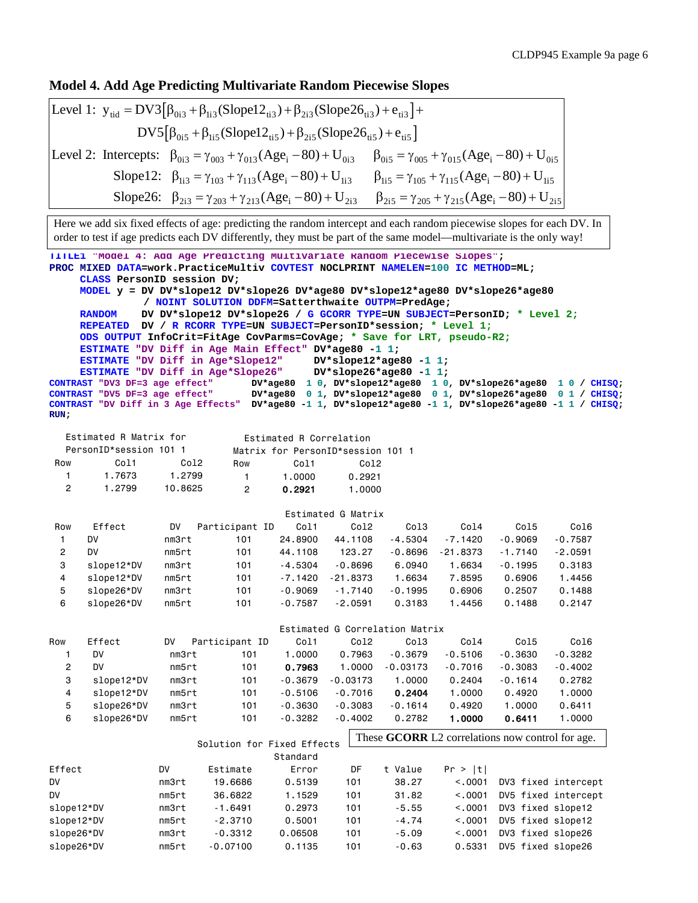### **Model 4. Add Age Predicting Multivariate Random Piecewise Slopes**

Level 1: 
$$
y_{tid} = DV3[\beta_{0i3} + \beta_{li3}(Slope12_{ti3}) + \beta_{2i3}(Slope26_{ti3}) + e_{ti3}] + DV5[\beta_{0i5} + \beta_{li5}(Slope12_{ti5}) + \beta_{2i5}(Slope26_{ti5}) + e_{ti5}]
$$

\nLevel 2: Intercepts: 
$$
\beta_{0i3} = \gamma_{003} + \gamma_{013}(Age_i - 80) + U_{0i3} \qquad \beta_{0i5} = \gamma_{005} + \gamma_{015}(Age_i - 80) + U_{0i5}
$$

\nSlope12: 
$$
\beta_{li3} = \gamma_{103} + \gamma_{113}(Age_i - 80) + U_{li3} \qquad \beta_{li5} = \gamma_{105} + \gamma_{115}(Age_i - 80) + U_{li5}
$$

\nSlope26: 
$$
\beta_{2i3} = \gamma_{203} + \gamma_{213}(Age_i - 80) + U_{2i3} \qquad \beta_{2i5} = \gamma_{205} + \gamma_{215}(Age_i - 80) + U_{2i5}
$$

Here we add six fixed effects of age: predicting the random intercept and each random piecewise slopes for each DV. In order to test if age predicts each DV differently, they must be part of the same model—multivariate is the only way!

```
TITLE1 "Model 4: Add Age Predicting Multivariate Random Piecewise Slopes";
PROC MIXED DATA=work.PracticeMultiv COVTEST NOCLPRINT NAMELEN=100 IC METHOD=ML;
     CLASS PersonID session DV;
     MODEL y = DV DV*slope12 DV*slope26 DV*age80 DV*slope12*age80 DV*slope26*age80
              / NOINT SOLUTION DDFM=Satterthwaite OUTPM=PredAge;
     RANDOM DV DV*slope12 DV*slope26 / G GCORR TYPE=UN SUBJECT=PersonID; * Level 2;
     REPEATED DV / R RCORR TYPE=UN SUBJECT=PersonID*session; * Level 1;
     ODS OUTPUT InfoCrit=FitAge CovParms=CovAge; * Save for LRT, pseudo-R2;
     ESTIMATE "DV Diff in Age Main Effect" DV*age80 -1 1;
     ESTIMATE "DV Diff in Age*Slope12" DV*slope12*age80 -1 1;
ESTIMATE "DV Diff in Age*Slope26"<br>CONTRAST "DV3 DF=3 age effect" DV*age
CONTRAST "DV3 DF=3 age effect" DV*age80 1 0, DV*slope12*age80 1 0, DV*slope26*age80 1 0 / CHISQ;
                            CONTRAST "DV5 DF=3 age effect" DV*age80 0 1, DV*slope12*age80 0 1, DV*slope26*age80 0 1 / CHISQ;
CONTRAST "DV Diff in 3 Age Effects" DV*age80 -1 1, DV*slope12*age80 -1 1, DV*slope26*age80 -1 1 / CHISQ; 
RUN;
   Estimated R Matrix for
   PersonID*session 101 1
Row Col1 Col2
   1 1.7673 1.2799
   2 1.2799 10.8625
                                   Estimated G Matrix 
Row Effect DV Participant ID Col1 Col2 Col3 Col4 Col5 Col6
 1 DV nm3rt 101 24.8900 44.1108 -4.5304 -7.1420 -0.9069 -0.7587
  2 DV nm5rt 101 44.1108 123.27 -0.8696 -21.8373 -1.7140 -2.0591
  3 slope12*DV nm3rt 101 -4.5304 -0.8696 6.0940 1.6634 -0.1995 0.3183
  4 slope12*DV nm5rt 101 -7.1420 -21.8373 1.6634 7.8595 0.6906 1.4456
 5 slope26*DV nm3rt 101 -0.9069 -1.7140 -0.1995 0.6906 0.2507 0.1488
 6 slope26*DV nm5rt 101 -0.7587 -2.0591 0.3183 1.4456 0.1488 0.2147
                                  Estimated G Correlation Matrix
Row Effect DV Participant ID Col1 Col2 Col3 Col4 Col5 Col6
 1 DV nm3rt 101 1.0000 0.7963 -0.3679 -0.5106 -0.3630 -0.3282
   2 DV nm5rt 101 0.7963 1.0000 -0.03173 -0.7016 -0.3083 -0.4002
   3 slope12*DV nm3rt 101 -0.3679 -0.03173 1.0000 0.2404 -0.1614 0.2782
 4 slope12*DV nm5rt 101 -0.5106 -0.7016 0.2404 1.0000 0.4920 1.0000
 5 slope26*DV nm3rt 101 -0.3630 -0.3083 -0.1614 0.4920 1.0000 0.6411
 6 slope26*DV nm5rt 101 -0.3282 -0.4002 0.2782 1.0000 0.6411 1.0000
                      Solution for Fixed Effects
                                 Standard
Effect DV Estimate Error DF t Value Pr > |t|
DV nm3rt 19.6686 0.5139 101 38.27 <.0001 DV3 fixed intercept
DV nm5rt 36.6822 1.1529 101 31.82 <.0001 DV5 fixed intercept
slope12*DV nm3rt -1.6491 0.2973 101 -5.55 <.0001 DV3 fixed slope12
                             Estimated R Correlation
                          Matrix for PersonID*session 101 1 
                          Row Col1 Col2
                            1 1.0000 0.2921
                             2 0.2921 1.0000
                                            These GCORR L2 correlations now control for age.
```
slope12\*DV nm5rt -2.3710 0.5001 101 -4.74 <.0001 DV5 fixed slope12 slope26\*DV nm3rt -0.3312 0.06508 101 -5.09 <.0001 DV3 fixed slope26 slope26\*DV nm5rt -0.07100 0.1135 101 -0.63 0.5331 DV5 fixed slope26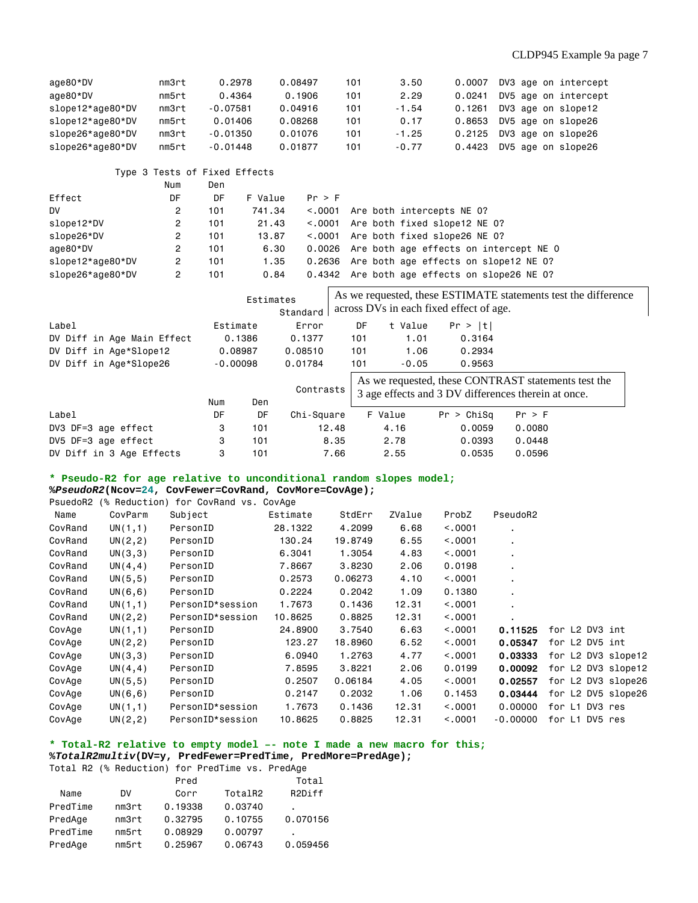| age80*DV         | nm3rt | 0.2978     | 0.08497 | 101 | 3.50    | 0.0007 | DV3 age on intercept |
|------------------|-------|------------|---------|-----|---------|--------|----------------------|
| age80*DV         | nm5rt | 0.4364     | 0.1906  | 101 | 2.29    | 0.0241 | DV5 age on intercept |
| slope12*age80*DV | nm3rt | $-0.07581$ | 0.04916 | 101 | $-1.54$ | 0.1261 | DV3 age on slope12   |
| slope12*age80*DV | nm5rt | 0.01406    | 0.08268 | 101 | 0.17    | 0.8653 | DV5 age on slope26   |
| slope26*age80*DV | nm3rt | $-0.01350$ | 0.01076 | 101 | $-1.25$ | 0.2125 | DV3 age on slope26   |
| slope26*age80*DV | nm5rt | $-0.01448$ | 0.01877 | 101 | $-0.77$ | 0.4423 | DV5 age on slope26   |

Type 3 Tests of Fixed Effects

|                  | Num | Den |         |         |                                               |
|------------------|-----|-----|---------|---------|-----------------------------------------------|
| Effect           | DF  | DF  | F Value | Pr > F  |                                               |
| DV.              | 2   | 101 | 741.34  | < 0.001 | Are both intercepts NE 0?                     |
| slope12*DV       | 2   | 101 | 21.43   |         | <.0001 Are both fixed slope12 NE 0?           |
| slope26*DV       | 2   | 101 | 13,87   | < 0.001 | Are both fixed slope26 NE 0?                  |
| age80*DV         | 2   | 101 | 6.30    |         | 0.0026 Are both age effects on intercept NE 0 |
| slope12*age80*DV | 2   | 101 | 1.35    |         | 0.2636 Are both age effects on slope12 NE 0?  |
| slope26*age80*DV | 2   | 101 | 0.84    |         | 0.4342 Are both age effects on slope26 NE 0?  |

|                            | Estimates  | Standard | As we requested, these ESTIMATE statements test the difference<br>across DVs in each fixed effect of age. |     |         |            |                                                                                                            |
|----------------------------|------------|----------|-----------------------------------------------------------------------------------------------------------|-----|---------|------------|------------------------------------------------------------------------------------------------------------|
| Label                      | Estimate   |          | Error                                                                                                     | DF  | t Value | Pr >  t    |                                                                                                            |
| DV Diff in Age Main Effect |            | 0.1386   | 0.1377                                                                                                    | 101 | 1.01    | 0.3164     |                                                                                                            |
| DV Diff in Age*Slope12     | 0.08987    |          | 0.08510                                                                                                   | 101 | 1.06    | 0.2934     |                                                                                                            |
| DV Diff in Age*Slope26     | $-0.00098$ |          | 0.01784                                                                                                   | 101 | $-0.05$ | 0.9563     |                                                                                                            |
|                            | Num        | Den      | Contrasts                                                                                                 |     |         |            | As we requested, these CONTRAST statements test the<br>3 age effects and 3 DV differences therein at once. |
| Label                      | DF         | DF       | Chi-Square                                                                                                |     | F Value | Pr > Chisq | Pr > F                                                                                                     |
| DV3 DF=3 age effect        | 3          | 101      | 12.48                                                                                                     |     | 4.16    | 0.0059     | 0.0080                                                                                                     |
| DV5 DF=3 age effect        | 3          | 101      | 8.35                                                                                                      |     | 2.78    | 0.0393     | 0.0448                                                                                                     |
| DV Diff in 3 Age Effects   | 3          | 101      | 7.66                                                                                                      |     | 2.55    | 0.0535     | 0.0596                                                                                                     |

#### **\* Pseudo-R2 for age relative to unconditional random slopes model;**

**%***PseudoR2***(Ncov=24, CovFewer=CovRand, CovMore=CovAge);**

| PsuedoR2<br>(% Reduction) for CovRand vs. CovAge |          |                  |          |         |        |         |                |                    |
|--------------------------------------------------|----------|------------------|----------|---------|--------|---------|----------------|--------------------|
| Name                                             | CovParm  | Subject          | Estimate | StdErr  | ZValue | ProbZ   | PseudoR2       |                    |
| CovRand                                          | UN(1,1)  | PersonID         | 28.1322  | 4.2099  | 6.68   | < .0001 | ٠.             |                    |
| CovRand                                          | UN(2,2)  | PersonID         | 130.24   | 19,8749 | 6.55   | < 0.001 | $\blacksquare$ |                    |
| CovRand                                          | UN(3,3)  | PersonID         | 6,3041   | 1.3054  | 4.83   | < 0.001 |                |                    |
| CovRand                                          | UN(4, 4) | PersonID         | 7.8667   | 3.8230  | 2.06   | 0.0198  |                |                    |
| CovRand                                          | UN(5, 5) | PersonID         | 0.2573   | 0.06273 | 4.10   | < 0.001 |                |                    |
| CovRand                                          | UN(6, 6) | PersonID         | 0.2224   | 0.2042  | 1.09   | 0.1380  |                |                    |
| CovRand                                          | UN(1,1)  | PersonID*session | 1,7673   | 0.1436  | 12.31  | < 0.001 |                |                    |
| CovRand                                          | UN(2,2)  | PersonID*session | 10.8625  | 0.8825  | 12.31  | < 0.001 |                |                    |
| CovAge                                           | UN(1,1)  | PersonID         | 24,8900  | 3,7540  | 6.63   | < .0001 | 0.11525        | for L2 DV3 int     |
| CovAge                                           | UN(2,2)  | PersonID         | 123.27   | 18.8960 | 6.52   | < .0001 | 0.05347        | for L2 DV5 int     |
| CovAge                                           | UN(3,3)  | PersonID         | 6,0940   | 1,2763  | 4.77   | < .0001 | 0.03333        | for L2 DV3 slope12 |
| CovAge                                           | UN(4, 4) | PersonID         | 7.8595   | 3.8221  | 2.06   | 0.0199  | 0.00092        | for L2 DV3 slope12 |
| CovAge                                           | UN(5, 5) | PersonID         | 0.2507   | 0.06184 | 4.05   | < 0.001 | 0.02557        | for L2 DV3 slope26 |
| CovAge                                           | UN(6, 6) | PersonID         | 0.2147   | 0.2032  | 1.06   | 0.1453  | 0.03444        | for L2 DV5 slope26 |
| CovAge                                           | UN(1,1)  | PersonID*session | 1.7673   | 0.1436  | 12.31  | < 0.001 | 0,00000        | DV3 res<br>for L1  |
| CovAge                                           | UN(2,2)  | PersonID*session | 10.8625  | 0.8825  | 12.31  | < 0.001 | $-0.00000$     | for L1 DV5 res     |

**\* Total-R2 relative to empty model –- note I made a new macro for this; %***TotalR2multiv***(DV=y, PredFewer=PredTime, PredMore=PredAge);**

| Total R2 (% Reduction) for PredTime vs. PredAge |      |       |
|-------------------------------------------------|------|-------|
|                                                 | Pred | Total |

|          |       | Pred    |         | Total    |
|----------|-------|---------|---------|----------|
| Name     | DV    | Corr    | TotalR2 | R2Diff   |
| PredTime | nm3rt | 0.19338 | 0.03740 | ٠        |
| PredAge  | nm3rt | 0.32795 | 0.10755 | 0.070156 |
| PredTime | nm5rt | 0.08929 | 0.00797 | ٠        |
| PredAge  | nm5rt | 0.25967 | 0.06743 | 0.059456 |